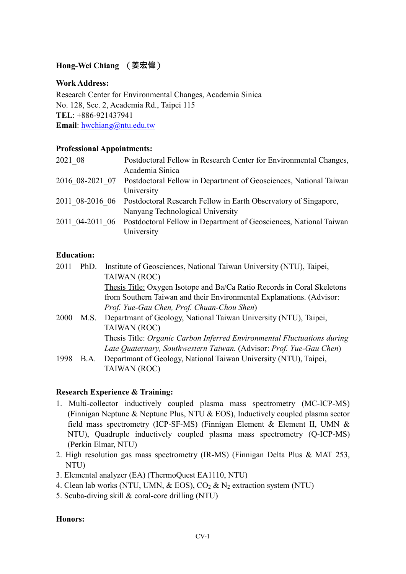# **Hong-Wei Chiang** (**姜宏偉**)

### **Work Address:**

Research Center for Environmental Changes, Academia Sinica No. 128, Sec. 2, Academia Rd., Taipei 115 **TEL**: +886-921437941 **Email**: [hwchiang@ntu.edu.tw](mailto:hwchiang@ntu.edu.tw)

### **Professional Appointments:**

| 2021 08 | Postdoctoral Fellow in Research Center for Environmental Changes,                 |
|---------|-----------------------------------------------------------------------------------|
|         | Academia Sinica                                                                   |
|         | 2016 08-2021 07 Postdoctoral Fellow in Department of Geosciences, National Taiwan |
|         | University                                                                        |
|         | 2011 08-2016 06 Postdoctoral Research Fellow in Earth Observatory of Singapore,   |
|         | Nanyang Technological University                                                  |
|         | 2011 04-2011 06 Postdoctoral Fellow in Department of Geosciences, National Taiwan |
|         | University                                                                        |

### **Education:**

| 2011 | PhD. | Institute of Geosciences, National Taiwan University (NTU), Taipei,     |
|------|------|-------------------------------------------------------------------------|
|      |      | TAIWAN (ROC)                                                            |
|      |      | Thesis Title: Oxygen Isotope and Ba/Ca Ratio Records in Coral Skeletons |
|      |      | from Southern Taiwan and their Environmental Explanations. (Advisor:    |
|      |      | Prof. Yue-Gau Chen, Prof. Chuan-Chou Shen)                              |
| 2000 | M.S. | Departmant of Geology, National Taiwan University (NTU), Taipei,        |
|      |      | TAIWAN (ROC)                                                            |
|      |      | Thesis Title: Organic Carbon Inferred Environmental Fluctuations during |
|      |      | Late Quaternary, Southwestern Taiwan. (Advisor: Prof. Yue-Gau Chen)     |
| 1998 | B.A. | Departmant of Geology, National Taiwan University (NTU), Taipei,        |
|      |      | TAIWAN (ROC)                                                            |

# **Research Experience & Training:**

- 1. Multi-collector inductively coupled plasma mass spectrometry (MC-ICP-MS) (Finnigan Neptune & Neptune Plus, NTU & EOS), Inductively coupled plasma sector field mass spectrometry (ICP-SF-MS) (Finnigan Element & Element II, UMN & NTU), Quadruple inductively coupled plasma mass spectrometry (Q-ICP-MS) (Perkin Elmar, NTU)
- 2. High resolution gas mass spectrometry (IR-MS) (Finnigan Delta Plus & MAT 253, NTU)
- 3. Elemental analyzer (EA) (ThermoQuest EA1110, NTU)
- 4. Clean lab works (NTU, UMN,  $\&$  EOS), CO<sub>2</sub>  $\&$  N<sub>2</sub> extraction system (NTU)
- 5. Scuba-diving skill & coral-core drilling (NTU)

#### **Honors:**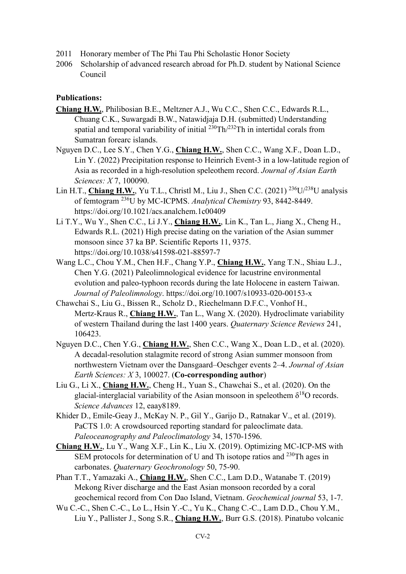- 2011 Honorary member of The Phi Tau Phi Scholastic Honor Society
- 2006 Scholarship of advanced research abroad for Ph.D. student by National Science Council

#### **Publications:**

- **Chiang H.W.**, Philibosian B.E., Meltzner A.J., Wu C.C., Shen C.C., Edwards R.L., Chuang C.K., Suwargadi B.W., Natawidjaja D.H. (submitted) Understanding spatial and temporal variability of initial  $^{230}$ Th $/^{232}$ Th in intertidal corals from Sumatran forearc islands.
- Nguyen D.C., Lee S.Y., Chen Y.G., **Chiang H.W.**, Shen C.C., Wang X.F., Doan L.D., Lin Y. (2022) Precipitation response to Heinrich Event-3 in a low-latitude region of Asia as recorded in a high-resolution speleothem record. *Journal of Asian Earth Sciences: X* 7, 100090.
- Lin H.T., **Chiang H.W.**, Yu T.L., Christl M., Liu J., Shen C.C. (2021) 236U/238U analysis of femtogram 236U by MC-ICPMS. *Analytical Chemistry* 93, 8442-8449. https://doi.org/10.1021/acs.analchem.1c00409
- Li T.Y., Wu Y., Shen C.C., Li J.Y., **Chiang H.W.**, Lin K., Tan L., Jiang X., Cheng H., Edwards R.L. (2021) High precise dating on the variation of the Asian summer monsoon since 37 ka BP. Scientific Reports 11, 9375. https://doi.org/10.1038/s41598-021-88597-7
- Wang L.C., Chou Y.M., Chen H.F., Chang Y.P., **Chiang H.W.**, Yang T.N., Shiau L.J., Chen Y.G. (2021) Paleolimnological evidence for lacustrine environmental evolution and paleo-typhoon records during the late Holocene in eastern Taiwan. *Journal of Paleolimnology*. https://doi.org/10.1007/s10933-020-00153-x
- Chawchai S., Liu G., Bissen R., Scholz D., Riechelmann D.F.C., Vonhof H., Mertz-Kraus R., **Chiang H.W.**, Tan L., Wang X. (2020). Hydroclimate variability of western Thailand during the last 1400 years. *Quaternary Science Reviews* 241, 106423.
- Nguyen D.C., Chen Y.G., **Chiang H.W.**, Shen C.C., Wang X., Doan L.D., et al. (2020). A decadal-resolution stalagmite record of strong Asian summer monsoon from northwestern Vietnam over the Dansgaard–Oeschger events 2–4. *Journal of Asian Earth Sciences: X* 3, 100027. (**Co-corresponding author**)
- Liu G., Li X., **Chiang H.W.**, Cheng H., Yuan S., Chawchai S., et al. (2020). On the glacial-interglacial variability of the Asian monsoon in speleothem  $\delta^{18}O$  records. *Science Advances* 12, eaay8189.
- Khider D., Emile-Geay J., McKay N. P., Gil Y., Garijo D., Ratnakar V., et al. (2019). PaCTS 1.0: A crowdsourced reporting standard for paleoclimate data. *Paleoceanography and Paleoclimatology* 34, 1570-1596.
- **Chiang H.W.**, Lu Y., Wang X.F., Lin K., Liu X. (2019). Optimizing MC-ICP-MS with SEM protocols for determination of U and Th isotope ratios and  $^{230}$ Th ages in carbonates. *Quaternary Geochronology* 50, 75-90.
- Phan T.T., Yamazaki A., **Chiang H.W.**, Shen C.C., Lam D.D., Watanabe T. (2019) Mekong River discharge and the East Asian monsoon recorded by a coral geochemical record from Con Dao Island, Vietnam. *Geochemical journal* 53, 1-7.
- Wu C.-C., Shen C.-C., Lo L., Hsin Y.-C., Yu K., Chang C.-C., Lam D.D., Chou Y.M., Liu Y., Pallister J., Song S.R., **Chiang H.W.**, Burr G.S. (2018). Pinatubo volcanic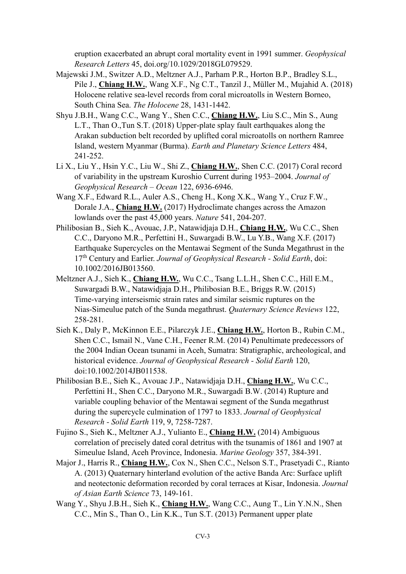eruption exacerbated an abrupt coral mortality event in 1991 summer. *Geophysical Research Letters* 45, doi.org/10.1029/2018GL079529.

- Majewski J.M., Switzer A.D., Meltzner A.J., Parham P.R., Horton B.P., Bradley S.L., Pile J., **Chiang H.W.**, Wang X.F., Ng C.T., Tanzil J., Müller M., Mujahid A. (2018) Holocene relative sea-level records from coral microatolls in Western Borneo, South China Sea. *The Holocene* 28, 1431-1442.
- Shyu J.B.H., Wang C.C., Wang Y., Shen C.C., **Chiang H.W.**, Liu S.C., Min S., Aung L.T., Than O.,Tun S.T. (2018) Upper-plate splay fault earthquakes along the Arakan subduction belt recorded by uplifted coral microatolls on northern Ramree Island, western Myanmar (Burma). *Earth and Planetary Science Letters* 484, 241-252.
- Li X., Liu Y., Hsin Y.C., Liu W., Shi Z., **Chiang H.W.**, Shen C.C. (2017) Coral record of variability in the upstream Kuroshio Current during 1953–2004. *Journal of Geophysical Research – Ocean* 122, 6936-6946.
- Wang X.F., Edward R.L., Auler A.S., Cheng H., Kong X.K., Wang Y., Cruz F.W., Dorale J.A., **Chiang H.W.** (2017) Hydroclimate changes across the Amazon lowlands over the past 45,000 years. *Nature* 541, 204-207.
- Philibosian B., Sieh K., Avouac, J.P., Natawidjaja D.H., **Chiang H.W.**, Wu C.C., Shen C.C., Daryono M.R., Perfettini H., Suwargadi B.W., Lu Y.B., Wang X.F. (2017) Earthquake Supercycles on the Mentawai Segment of the Sunda Megathrust in the 17th Century and Earlier. *Journal of Geophysical Research - Solid Earth*, doi: 10.1002/2016JB013560.
- Meltzner A.J., Sieh K., **Chiang H.W.**, Wu C.C., Tsang L.L.H., Shen C.C., Hill E.M., Suwargadi B.W., Natawidjaja D.H., Philibosian B.E., Briggs R.W. (2015) Time-varying interseismic strain rates and similar seismic ruptures on the Nias-Simeulue patch of the Sunda megathrust. *Quaternary Science Reviews* 122, 258-281.
- Sieh K., Daly P., McKinnon E.E., Pilarczyk J.E., **Chiang H.W.**, Horton B., Rubin C.M., Shen C.C., Ismail N., Vane C.H., Feener R.M. (2014) Penultimate predecessors of the 2004 Indian Ocean tsunami in Aceh, Sumatra: Stratigraphic, archeological, and historical evidence. *Journal of Geophysical Research - Solid Earth* 120, doi:10.1002/2014JB011538.
- Philibosian B.E., Sieh K., Avouac J.P., Natawidjaja D.H., **Chiang H.W.**, Wu C.C., Perfettini H., Shen C.C., Daryono M.R., Suwargadi B.W. (2014) Rupture and variable coupling behavior of the Mentawai segment of the Sunda megathrust during the supercycle culmination of 1797 to 1833. *Journal of Geophysical Research - Solid Earth* 119, 9, 7258-7287.
- Fujino S., Sieh K., Meltzner A.J., Yulianto E., **Chiang H.W.** (2014) Ambiguous correlation of precisely dated coral detritus with the tsunamis of 1861 and 1907 at Simeulue Island, Aceh Province, Indonesia. *Marine Geology* 357, 384-391.
- Major J., Harris R., **Chiang H.W.**, Cox N., Shen C.C., Nelson S.T., Prasetyadi C., Rianto A. (2013) Quaternary hinterland evolution of the active Banda Arc: Surface uplift and neotectonic deformation recorded by coral terraces at Kisar, Indonesia. *Journal of Asian Earth Science* 73, 149-161.
- Wang Y., Shyu J.B.H., Sieh K., **Chiang H.W.**, Wang C.C., Aung T., Lin Y.N.N., Shen C.C., Min S., Than O., Lin K.K., Tun S.T. (2013) Permanent upper plate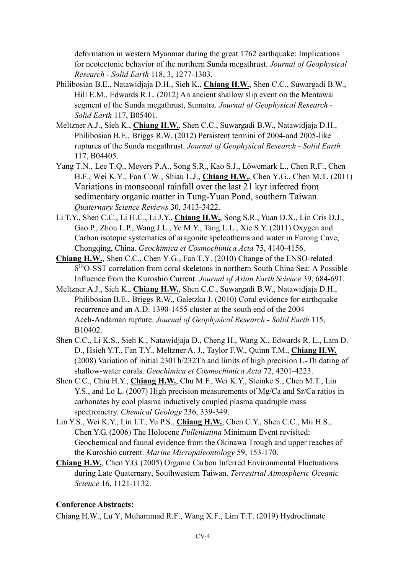deformation in western Myanmar during the great 1762 earthquake: Implications for neotectonic behavior of the northern Sunda megathrust. *Journal of Geophysical Research - Solid Earth* 118, 3, 1277-1303.

- Philibosian B.E., Natawidjaja D.H., Sieh K., **Chiang H.W.**, Shen C.C., Suwargadi B.W., Hill E.M., Edwards R.L. (2012) An ancient shallow slip event on the Mentawai segment of the Sunda megathrust, Sumatra. *Journal of Geophysical Research - Solid Earth* 117, B05401.
- Meltzner A.J., Sieh K., **Chiang H.W.**, Shen C.C., Suwargadi B.W., Natawidjaja D.H., Philibosian B.E., Briggs R.W. (2012) Persistent termini of 2004-and 2005-like ruptures of the Sunda megathrust. *Journal of Geophysical Research - Solid Earth* 117, B04405.
- Yang T.N., Lee T.Q., Meyers P.A., Song S.R., Kao S.J., Löwemark L., Chen R.F., Chen H.F., Wei K.Y., Fan C.W., Shiau L.J., **Chiang H.W.**, Chen Y.G., Chen M.T. (2011) Variations in monsoonal rainfall over the last 21 kyr inferred from sedimentary organic matter in Tung-Yuan Pond, southern Taiwan. *Quaternary Science Reviews* 30, 3413-3422.
- Li T.Y., Shen C.C., Li H.C., Li J.Y., **Chiang H.W.**, Song S.R., Yuan D.X., Lin Cris D.J., Gao P., Zhou L.P., Wang J.L., Ye M.Y., Tang L.L., Xie S.Y. (2011) Oxygen and Carbon isotopic systematics of aragonite speleothems and water in Furong Cave, Chongqing, China. *Geochimica et Cosmochimica Acta* 75, 4140-4156.
- **Chiang H.W.**, Shen C.C., Chen Y.G., Fan T.Y. (2010) Change of the ENSO-related  $\delta^{18}$ O-SST correlation from coral skeletons in northern South China Sea: A Possible Influence from the Kuroshio Current. *Journal of Asian Earth Science* 39, 684-691.
- Meltzner A.J., Sieh K., **Chiang H.W.**, Shen C.C., Suwargadi B.W., Natawidjaja D.H., Philibosian B.E., Briggs R.W., Galetzka J. (2010) Coral evidence for earthquake recurrence and an A.D. 1390-1455 cluster at the south end of the 2004 Aceh-Andaman rupture. *Journal of Geophysical Research - Solid Earth* 115, B10402.
- Shen C.C., Li K.S., Sieh K., Natawidjaja D., Cheng H., Wang X., Edwards R. L., Lam D. D., Hsieh Y.T., Fan T.Y., Meltzner A. J., Taylor F.W., Quinn T.M., **Chiang H.W.** (2008) Variation of initial 230Th/232Th and limits of high precision U-Th dating of shallow-water corals. *Geochimica et Cosmochimica Acta* 72, 4201-4223.
- Shen C.C., Chiu H.Y., **Chiang H.W.**, Chu M.F., Wei K.Y., Steinke S., Chen M.T., Lin Y.S., and Lo L. (2007) High precision measurements of Mg/Ca and Sr/Ca ratios in carbonates by cool plasma inductively coupled plasma quadruple mass spectrometry. *Chemical Geology* 236, 339-349.
- Lin Y.S., Wei K.Y., Lin I.T., Yu P.S., **Chiang H.W.**, Chen C.Y., Shen C.C., Mii H.S., Chen Y.G. (2006) The Holocene *Pulleniatina* Minimum Event revisited: Geochemical and faunal evidence from the Okinawa Trough and upper reaches of the Kuroshio current. *Marine Micropaleontology* 59, 153-170.
- **Chiang H.W.**, Chen Y.G. (2005) Organic Carbon Inferred Environmental Fluctuations during Late Quaternary, Southwestern Taiwan. *Terrestrial Atmospheric Oceanic Science* 16, 1121-1132.

# **Conference Abstracts:**

Chiang H.W., Lu Y, Muhammad R.F., Wang X.F., Lim T.T. (2019) Hydroclimate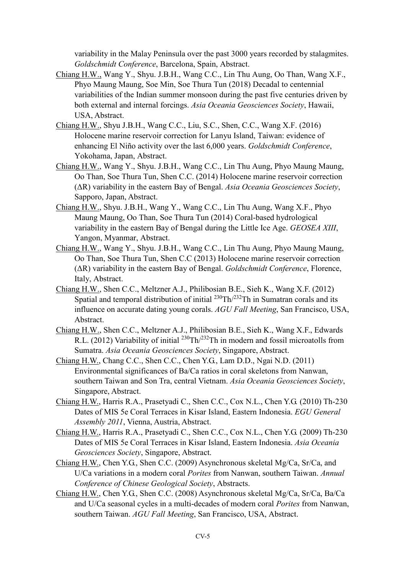variability in the Malay Peninsula over the past 3000 years recorded by stalagmites. *Goldschmidt Conference*, Barcelona, Spain, Abstract.

- Chiang H.W., Wang Y., Shyu. J.B.H., Wang C.C., Lin Thu Aung, Oo Than, Wang X.F., Phyo Maung Maung, Soe Min, Soe Thura Tun (2018) Decadal to centennial variabilities of the Indian summer monsoon during the past five centuries driven by both external and internal forcings. *Asia Oceania Geosciences Society*, Hawaii, USA, Abstract.
- Chiang H.W., Shyu J.B.H., Wang C.C., Liu, S.C., Shen, C.C., Wang X.F. (2016) Holocene marine reservoir correction for Lanyu Island, Taiwan: evidence of enhancing El Niño activity over the last 6,000 years. *Goldschmidt Conference*, Yokohama, Japan, Abstract.
- Chiang H.W., Wang Y., Shyu. J.B.H., Wang C.C., Lin Thu Aung, Phyo Maung Maung, Oo Than, Soe Thura Tun, Shen C.C. (2014) Holocene marine reservoir correction (ΔR) variability in the eastern Bay of Bengal. *Asia Oceania Geosciences Society*, Sapporo, Japan, Abstract.
- Chiang H.W., Shyu. J.B.H., Wang Y., Wang C.C., Lin Thu Aung, Wang X.F., Phyo Maung Maung, Oo Than, Soe Thura Tun (2014) Coral-based hydrological variability in the eastern Bay of Bengal during the Little Ice Age. *GEOSEA XIII*, Yangon, Myanmar, Abstract.
- Chiang H.W., Wang Y., Shyu. J.B.H., Wang C.C., Lin Thu Aung, Phyo Maung Maung, Oo Than, Soe Thura Tun, Shen C.C (2013) Holocene marine reservoir correction (ΔR) variability in the eastern Bay of Bengal. *Goldschmidt Conference*, Florence, Italy, Abstract.
- Chiang H.W., Shen C.C., Meltzner A.J., Philibosian B.E., Sieh K., Wang X.F. (2012) Spatial and temporal distribution of initial  $^{230}$ Th/ $^{232}$ Th in Sumatran corals and its influence on accurate dating young corals. *AGU Fall Meeting*, San Francisco, USA, Abstract.
- Chiang H.W., Shen C.C., Meltzner A.J., Philibosian B.E., Sieh K., Wang X.F., Edwards R.L. (2012) Variability of initial  $^{230}$ Th/ $^{232}$ Th in modern and fossil microatolls from Sumatra. *Asia Oceania Geosciences Society*, Singapore, Abstract.
- Chiang H.W., Chang C.C., Shen C.C., Chen Y.G., Lam D.D., Ngai N.D. (2011) Environmental significances of Ba/Ca ratios in coral skeletons from Nanwan, southern Taiwan and Son Tra, central Vietnam. *Asia Oceania Geosciences Society*, Singapore, Abstract.
- Chiang H.W., Harris R.A., Prasetyadi C., Shen C.C., Cox N.L., Chen Y.G. (2010) Th-230 Dates of MIS 5e Coral Terraces in Kisar Island, Eastern Indonesia. *EGU General Assembly 2011*, Vienna, Austria, Abstract.
- Chiang H.W., Harris R.A., Prasetyadi C., Shen C.C., Cox N.L., Chen Y.G. (2009) Th-230 Dates of MIS 5e Coral Terraces in Kisar Island, Eastern Indonesia. *Asia Oceania Geosciences Society*, Singapore, Abstract.
- Chiang H.W., Chen Y.G., Shen C.C. (2009) Asynchronous skeletal Mg/Ca, Sr/Ca, and U/Ca variations in a modern coral *Porites* from Nanwan, southern Taiwan. *Annual Conference of Chinese Geological Society*, Abstracts.
- Chiang H.W., Chen Y.G., Shen C.C. (2008) Asynchronous skeletal Mg/Ca, Sr/Ca, Ba/Ca and U/Ca seasonal cycles in a multi-decades of modern coral *Porites* from Nanwan, southern Taiwan. *AGU Fall Meeting*, San Francisco, USA, Abstract.